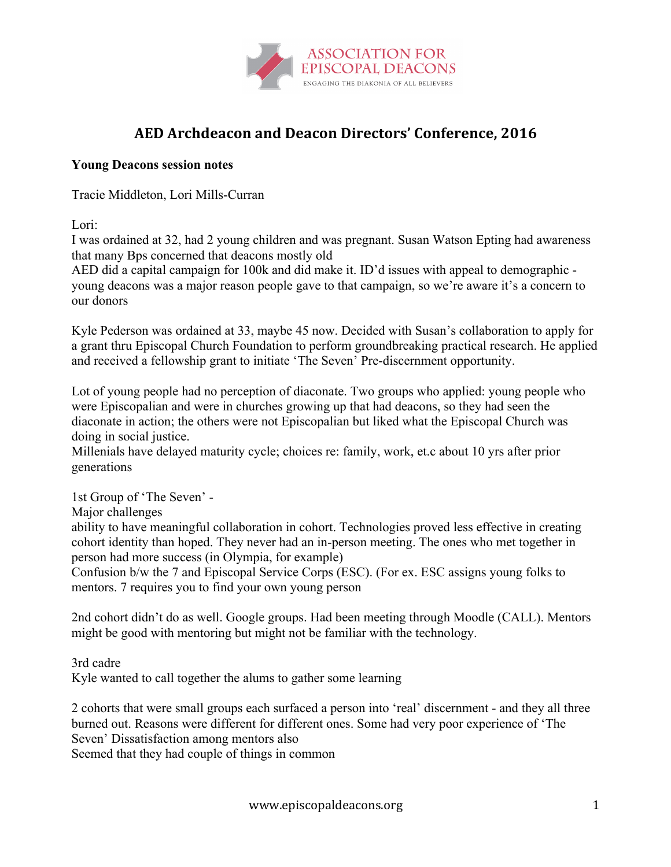

## **AED Archdeacon and Deacon Directors' Conference, 2016**

## **Young Deacons session notes**

Tracie Middleton, Lori Mills-Curran

Lori:

I was ordained at 32, had 2 young children and was pregnant. Susan Watson Epting had awareness that many Bps concerned that deacons mostly old

AED did a capital campaign for 100k and did make it. ID'd issues with appeal to demographic young deacons was a major reason people gave to that campaign, so we're aware it's a concern to our donors

Kyle Pederson was ordained at 33, maybe 45 now. Decided with Susan's collaboration to apply for a grant thru Episcopal Church Foundation to perform groundbreaking practical research. He applied and received a fellowship grant to initiate 'The Seven' Pre-discernment opportunity.

Lot of young people had no perception of diaconate. Two groups who applied: young people who were Episcopalian and were in churches growing up that had deacons, so they had seen the diaconate in action; the others were not Episcopalian but liked what the Episcopal Church was doing in social justice.

Millenials have delayed maturity cycle; choices re: family, work, et.c about 10 yrs after prior generations

1st Group of 'The Seven' -

Major challenges

ability to have meaningful collaboration in cohort. Technologies proved less effective in creating cohort identity than hoped. They never had an in-person meeting. The ones who met together in person had more success (in Olympia, for example)

Confusion b/w the 7 and Episcopal Service Corps (ESC). (For ex. ESC assigns young folks to mentors. 7 requires you to find your own young person

2nd cohort didn't do as well. Google groups. Had been meeting through Moodle (CALL). Mentors might be good with mentoring but might not be familiar with the technology.

3rd cadre Kyle wanted to call together the alums to gather some learning

2 cohorts that were small groups each surfaced a person into 'real' discernment - and they all three burned out. Reasons were different for different ones. Some had very poor experience of 'The Seven' Dissatisfaction among mentors also

Seemed that they had couple of things in common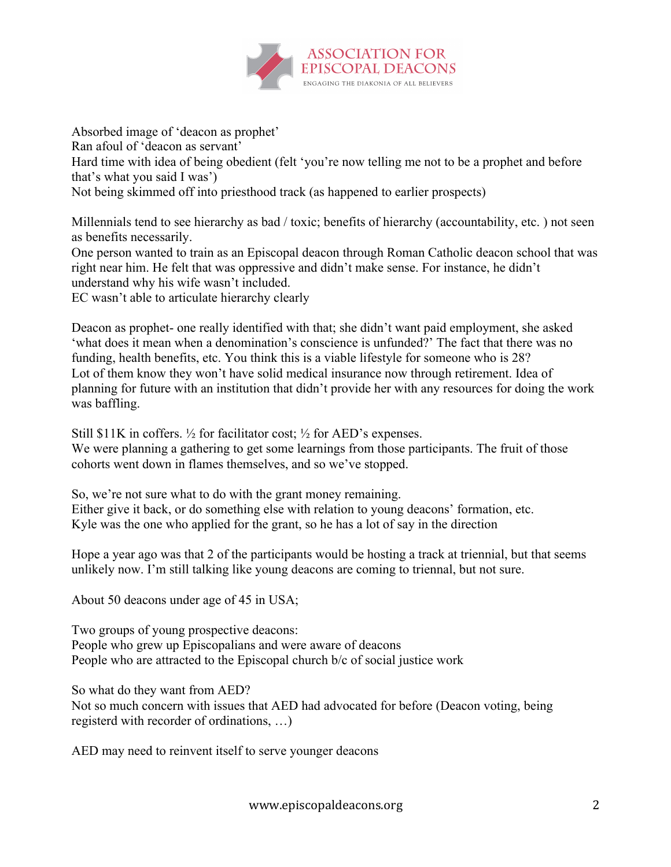

Absorbed image of 'deacon as prophet' Ran afoul of 'deacon as servant' Hard time with idea of being obedient (felt 'you're now telling me not to be a prophet and before that's what you said I was') Not being skimmed off into priesthood track (as happened to earlier prospects)

Millennials tend to see hierarchy as bad / toxic; benefits of hierarchy (accountability, etc. ) not seen as benefits necessarily.

One person wanted to train as an Episcopal deacon through Roman Catholic deacon school that was right near him. He felt that was oppressive and didn't make sense. For instance, he didn't understand why his wife wasn't included.

EC wasn't able to articulate hierarchy clearly

Deacon as prophet- one really identified with that; she didn't want paid employment, she asked 'what does it mean when a denomination's conscience is unfunded?' The fact that there was no funding, health benefits, etc. You think this is a viable lifestyle for someone who is 28? Lot of them know they won't have solid medical insurance now through retirement. Idea of planning for future with an institution that didn't provide her with any resources for doing the work was baffling.

Still \$11K in coffers.  $\frac{1}{2}$  for facilitator cost;  $\frac{1}{2}$  for AED's expenses. We were planning a gathering to get some learnings from those participants. The fruit of those cohorts went down in flames themselves, and so we've stopped.

So, we're not sure what to do with the grant money remaining. Either give it back, or do something else with relation to young deacons' formation, etc. Kyle was the one who applied for the grant, so he has a lot of say in the direction

Hope a year ago was that 2 of the participants would be hosting a track at triennial, but that seems unlikely now. I'm still talking like young deacons are coming to triennal, but not sure.

About 50 deacons under age of 45 in USA;

Two groups of young prospective deacons: People who grew up Episcopalians and were aware of deacons People who are attracted to the Episcopal church b/c of social justice work

So what do they want from AED?

Not so much concern with issues that AED had advocated for before (Deacon voting, being registerd with recorder of ordinations, …)

AED may need to reinvent itself to serve younger deacons